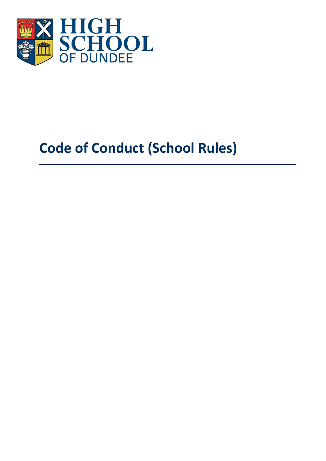

# <span id="page-0-0"></span>**Code of Conduct (School Rules)**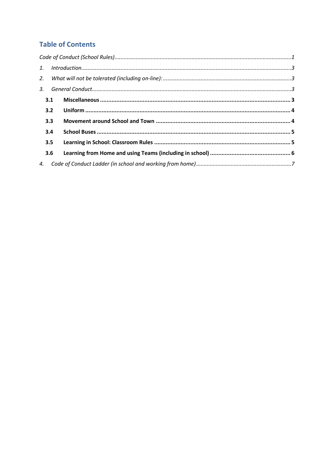# **Table of Contents**

|     | 3.1 |  |  |  |  |
|-----|-----|--|--|--|--|
|     | 3.2 |  |  |  |  |
|     | 3.3 |  |  |  |  |
|     | 3.4 |  |  |  |  |
| 3.5 |     |  |  |  |  |
|     | 3.6 |  |  |  |  |
|     |     |  |  |  |  |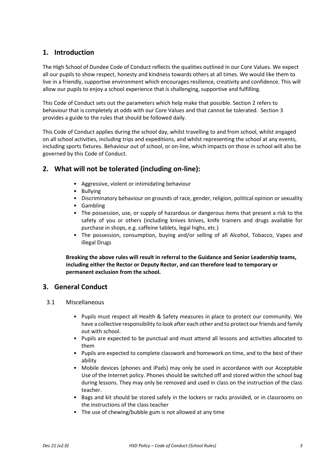# <span id="page-2-0"></span>**1. Introduction**

The High School of Dundee Code of Conduct reflects the qualities outlined in our Core Values. We expect all our pupils to show respect, honesty and kindness towards others at all times. We would like them to live in a friendly, supportive environment which encourages resilience, creativity and confidence. This will allow our pupils to enjoy a school experience that is challenging, supportive and fulfilling.

This Code of Conduct sets out the parameters which help make that possible. Section 2 refers to behaviour that is completely at odds with our Core Values and that cannot be tolerated. Section 3 provides a guide to the rules that should be followed daily.

This Code of Conduct applies during the school day, whilst travelling to and from school, whilst engaged on all school activities, including trips and expeditions, and whilst representing the school at any events, including sports fixtures. Behaviour out of school, or on-line, which impacts on those in school will also be governed by this Code of Conduct.

# <span id="page-2-1"></span>**2. What will not be tolerated (including on-line):**

- Aggressive, violent or intimidating behaviour
- Bullying
- Discriminatory behaviour on grounds of race, gender, religion, political opinion or sexuality
- Gambling
- The possession, use, or supply of hazardous or dangerous items that present a risk to the safety of you or others (including knives knives, knife trainers and drugs available for purchase in shops, e.g. caffeine tablets, legal highs, etc.)
- The possession, consumption, buying and/or selling of all Alcohol, Tobacco, Vapes and illegal Drugs

**Breaking the above rules will result in referral to the Guidance and Senior Leadership teams, including either the Rector or Deputy Rector, and can therefore lead to temporary or permanent exclusion from the school.**

## <span id="page-2-2"></span>**3. General Conduct**

- <span id="page-2-3"></span>3.1 Miscellaneous
	- Pupils must respect all Health & Safety measures in place to protect our community. We have a collective responsibility to look after each other and to protect our friends and family out with school.
	- Pupils are expected to be punctual and must attend all lessons and activities allocated to them
	- Pupils are expected to complete classwork and homework on time, and to the best of their ability
	- Mobile devices (phones and iPads) may only be used in accordance with our Acceptable Use of the Internet policy. Phones should be switched off and stored within the school bag during lessons. They may only be removed and used in class on the instruction of the class teacher.
	- Bags and kit should be stored safely in the lockers or racks provided, or in classrooms on the instructions of the class teacher
	- The use of chewing/bubble gum is not allowed at any time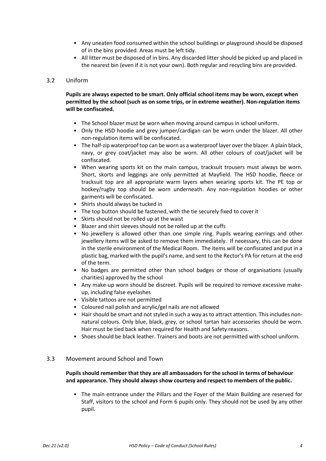- Any uneaten food consumed within the school buildings or playground should be disposed of in the bins provided. Areas must be left tidy.
- All litter must be disposed of in bins. Any discarded litter should be picked up and placed in the nearest bin (even if it is not your own). Both regular and recycling bins are provided.

## <span id="page-3-0"></span>3.2 Uniform

## **Pupils are always expected to be smart. Only official school items may be worn, except when permitted by the school (such as on some trips, or in extreme weather). Non-regulation items will be confiscated.**

- The School blazer must be worn when moving around campus in school uniform.
- Only the HSD hoodie and grey jumper/cardigan can be worn under the blazer. All other non-regulation items will be confiscated.
- The half-zip waterproof top can be worn as a waterproof layer over the blazer. A plain black, navy, or grey coat/jacket may also be worn. All other colours of coat/jacket will be confiscated.
- When wearing sports kit on the main campus, tracksuit trousers must always be worn. Short, skorts and leggings are only permitted at Mayfield. The HSD hoodie, fleece or tracksuit top are all appropriate warm layers when wearing sports kit. The PE top or hockey/rugby top should be worn underneath. Any non-regulation hoodies or other garments will be confiscated.
- Shirts should always be tucked in
- The top button should be fastened, with the tie securely fixed to cover it
- Skirts should not be rolled up at the waist
- Blazer and shirt sleeves should not be rolled up at the cuffs
- No jewellery is allowed other than one simple ring. Pupils wearing earrings and other jewellery items will be asked to remove them immediately. If necessary, this can be done in the sterile environment of the Medical Room. The items will be confiscated and put in a plastic bag, marked with the pupil's name, and sent to the Rector's PA for return at the end of the term.
- No badges are permitted other than school badges or those of organisations (usually charities) approved by the school
- Any make-up worn should be discreet. Pupils will be required to remove excessive makeup, including false eyelashes
- Visible tattoos are not permitted
- Coloured nail polish and acrylic/gel nails are not allowed
- Hair should be smart and not styled in such a way as to attract attention. This includes nonnatural colours. Only blue, black, grey, or school tartan hair accessories should be worn. Hair must be tied back when required for Health and Safety reasons.
- Shoes should be black leather. Trainers and boots are not permitted with school uniform.

#### <span id="page-3-1"></span>3.3 Movement around School and Town

## **Pupils should remember that they are all ambassadors for the school in terms of behaviour and appearance. They should always show courtesy and respect to members of the public.**

• The main entrance under the Pillars and the Foyer of the Main Building are reserved for Staff, visitors to the school and Form 6 pupils only. They should not be used by any other pupil.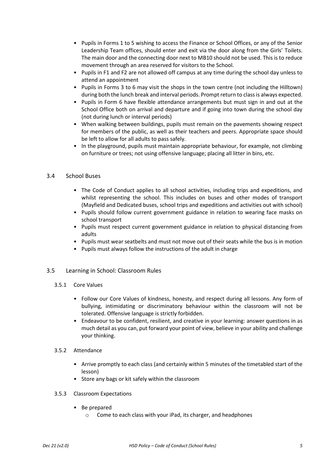- Pupils in Forms 1 to 5 wishing to access the Finance or School Offices, or any of the Senior Leadership Team offices, should enter and exit via the door along from the Girls' Toilets. The main door and the connecting door next to MB10 should not be used. This is to reduce movement through an area reserved for visitors to the School.
- Pupils in F1 and F2 are not allowed off campus at any time during the school day unless to attend an appointment
- Pupils in Forms 3 to 6 may visit the shops in the town centre (not including the Hilltown) during both the lunch break and interval periods. Prompt return to class is always expected.
- Pupils in Form 6 have flexible attendance arrangements but must sign in and out at the School Office both on arrival and departure and if going into town during the school day (not during lunch or interval periods)
- When walking between buildings, pupils must remain on the pavements showing respect for members of the public, as well as their teachers and peers. Appropriate space should be left to allow for all adults to pass safely.
- In the playground, pupils must maintain appropriate behaviour, for example, not climbing on furniture or trees; not using offensive language; placing all litter in bins, etc.

## <span id="page-4-0"></span>3.4 School Buses

- The Code of Conduct applies to all school activities, including trips and expeditions, and whilst representing the school. This includes on buses and other modes of transport (Mayfield and Dedicated buses, school trips and expeditions and activities out with school)
- Pupils should follow current government guidance in relation to wearing face masks on school transport
- Pupils must respect current government guidance in relation to physical distancing from adults
- Pupils must wear seatbelts and must not move out of their seats while the bus is in motion
- Pupils must always follow the instructions of the adult in charge

## <span id="page-4-1"></span>3.5 Learning in School: Classroom Rules

- 3.5.1 Core Values
	- Follow our Core Values of kindness, honesty, and respect during all lessons. Any form of bullying, intimidating or discriminatory behaviour within the classroom will not be tolerated. Offensive language is strictly forbidden.
	- Endeavour to be confident, resilient, and creative in your learning: answer questions in as much detail as you can, put forward your point of view, believe in your ability and challenge your thinking.

#### 3.5.2 Attendance

- Arrive promptly to each class (and certainly within 5 minutes of the timetabled start of the lesson)
- Store any bags or kit safely within the classroom
- 3.5.3 Classroom Expectations
	- Be prepared
		- o Come to each class with your iPad, its charger, and headphones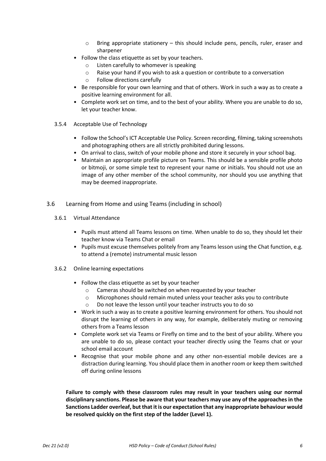- $\circ$  Bring appropriate stationery this should include pens, pencils, ruler, eraser and sharpener
- Follow the class etiquette as set by your teachers.
	- o Listen carefully to whomever is speaking
	- o Raise your hand if you wish to ask a question or contribute to a conversation
	- o Follow directions carefully
- Be responsible for your own learning and that of others. Work in such a way as to create a positive learning environment for all.
- Complete work set on time, and to the best of your ability. Where you are unable to do so, let your teacher know.
- 3.5.4 Acceptable Use of Technology
	- Follow the School's ICT Acceptable Use Policy. Screen recording, filming, taking screenshots and photographing others are all strictly prohibited during lessons.
	- On arrival to class, switch of your mobile phone and store it securely in your school bag.
	- Maintain an appropriate profile picture on Teams. This should be a sensible profile photo or bitmoji, or some simple text to represent your name or initials. You should not use an image of any other member of the school community, nor should you use anything that may be deemed inappropriate.
- <span id="page-5-0"></span>3.6 Learning from Home and using Teams (including in school)
	- 3.6.1 Virtual Attendance
		- Pupils must attend all Teams lessons on time. When unable to do so, they should let their teacher know via Teams Chat or email
		- Pupils must excuse themselves politely from any Teams lesson using the Chat function, e.g. to attend a (remote) instrumental music lesson
	- 3.6.2 Online learning expectations
		- Follow the class etiquette as set by your teacher
			- o Cameras should be switched on when requested by your teacher
			- o Microphones should remain muted unless your teacher asks you to contribute
			- o Do not leave the lesson until your teacher instructs you to do so
		- Work in such a way as to create a positive learning environment for others. You should not disrupt the learning of others in any way, for example, deliberately muting or removing others from a Teams lesson
		- Complete work set via Teams or Firefly on time and to the best of your ability. Where you are unable to do so, please contact your teacher directly using the Teams chat or your school email account
		- Recognise that your mobile phone and any other non-essential mobile devices are a distraction during learning. You should place them in another room or keep them switched off during online lessons

**Failure to comply with these classroom rules may result in your teachers using our normal disciplinary sanctions. Please be aware that your teachers may use any of the approaches in the Sanctions Ladder overleaf, but that it is our expectation that any inappropriate behaviour would be resolved quickly on the first step of the ladder (Level 1).**